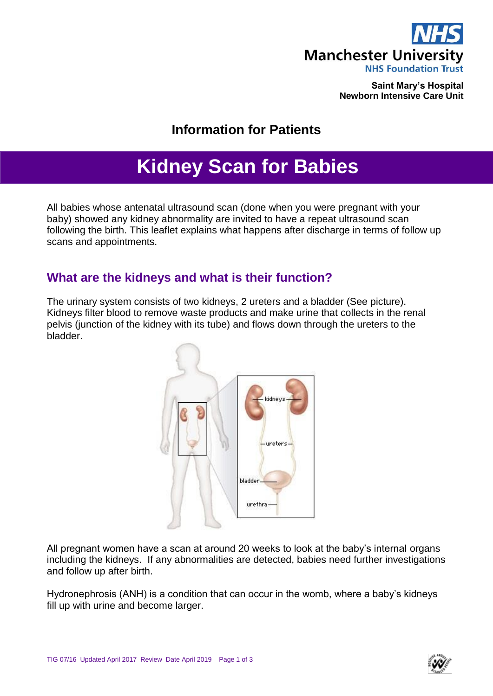

**Saint Mary's Hospital Newborn Intensive Care Unit**

## **Information for Patients**

# **Kidney Scan for Babies**

All babies whose antenatal ultrasound scan (done when you were pregnant with your baby) showed any kidney abnormality are invited to have a repeat ultrasound scan following the birth. This leaflet explains what happens after discharge in terms of follow up scans and appointments.

### **What are the kidneys and what is their function?**

The urinary system consists of two kidneys, 2 ureters and a bladder (See picture). Kidneys filter blood to remove waste products and make urine that collects in the renal pelvis (junction of the kidney with its tube) and flows down through the ureters to the bladder.



All pregnant women have a scan at around 20 weeks to look at the baby's internal organs including the kidneys. If any abnormalities are detected, babies need further investigations and follow up after birth.

Hydronephrosis (ANH) is a condition that can occur in the womb, where a baby's kidneys fill up with urine and become larger.

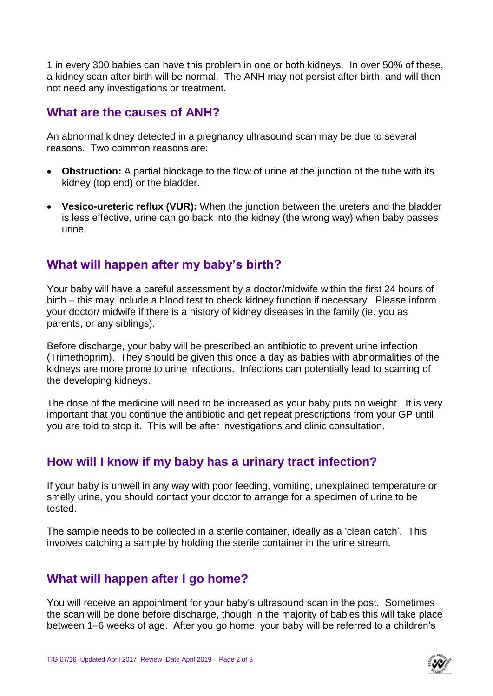1 in every 300 babies can have this problem in one or both kidneys. In over 50% of these, a kidney scan after birth will be normal. The ANH may not persist after birth, and will then not need any investigations or treatment.

#### **What are the causes of ANH?**

An abnormal kidney detected in a pregnancy ultrasound scan may be due to several reasons. Two common reasons are:

- **Obstruction:** A partial blockage to the flow of urine at the junction of the tube with its kidney (top end) or the bladder.
- **Vesico-ureteric reflux (VUR):** When the junction between the ureters and the bladder is less effective, urine can go back into the kidney (the wrong way) when baby passes urine.

## **What will happen after my baby's birth?**

Your baby will have a careful assessment by a doctor/midwife within the first 24 hours of birth – this may include a blood test to check kidney function if necessary. Please inform your doctor/ midwife if there is a history of kidney diseases in the family (ie. you as parents, or any siblings).

Before discharge, your baby will be prescribed an antibiotic to prevent urine infection (Trimethoprim). They should be given this once a day as babies with abnormalities of the kidneys are more prone to urine infections. Infections can potentially lead to scarring of the developing kidneys.

The dose of the medicine will need to be increased as your baby puts on weight. It is very important that you continue the antibiotic and get repeat prescriptions from your GP until you are told to stop it. This will be after investigations and clinic consultation.

### **How will I know if my baby has a urinary tract infection?**

If your baby is unwell in any way with poor feeding, vomiting, unexplained temperature or smelly urine, you should contact your doctor to arrange for a specimen of urine to be tested.

The sample needs to be collected in a sterile container, ideally as a 'clean catch'. This involves catching a sample by holding the sterile container in the urine stream.

### **What will happen after I go home?**

You will receive an appointment for your baby's ultrasound scan in the post. Sometimes the scan will be done before discharge, though in the majority of babies this will take place between 1–6 weeks of age. After you go home, your baby will be referred to a children's